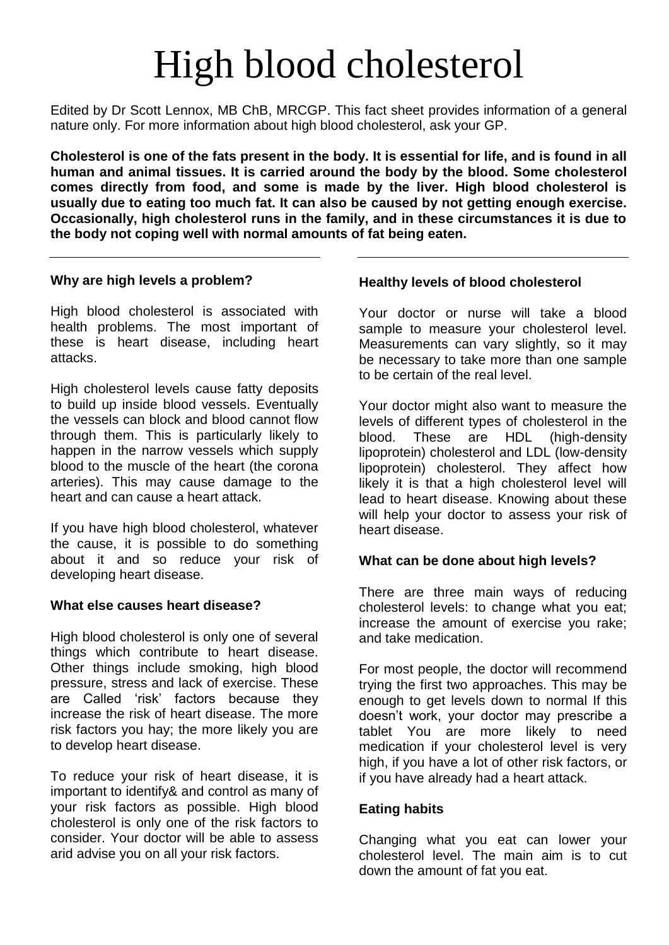# High blood cholesterol

Edited by Dr Scott Lennox, MB ChB, MRCGP. This fact sheet provides information of a general nature only. For more information about high blood cholesterol, ask your GP.

**Cholesterol is one of the fats present in the body. It is essential for life, and is found in all human and animal tissues. It is carried around the body by the blood. Some cholesterol comes directly from food, and some is made by the liver. High blood cholesterol is usually due to eating too much fat. It can also be caused by not getting enough exercise. Occasionally, high cholesterol runs in the family, and in these circumstances it is due to the body not coping well with normal amounts of fat being eaten.**

# **Why are high levels a problem?**

High blood cholesterol is associated with health problems. The most important of these is heart disease, including heart attacks.

High cholesterol levels cause fatty deposits to build up inside blood vessels. Eventually the vessels can block and blood cannot flow through them. This is particularly likely to happen in the narrow vessels which supply blood to the muscle of the heart (the corona arteries). This may cause damage to the heart and can cause a heart attack.

If you have high blood cholesterol, whatever the cause, it is possible to do something about it and so reduce your risk of developing heart disease.

#### **What else causes heart disease?**

High blood cholesterol is only one of several things which contribute to heart disease. Other things include smoking, high blood pressure, stress and lack of exercise. These are Called 'risk' factors because they increase the risk of heart disease. The more risk factors you hay; the more likely you are to develop heart disease.

To reduce your risk of heart disease, it is important to identify& and control as many of your risk factors as possible. High blood cholesterol is only one of the risk factors to consider. Your doctor will be able to assess arid advise you on all your risk factors.

# **Healthy levels of blood cholesterol**

Your doctor or nurse will take a blood sample to measure your cholesterol level. Measurements can vary slightly, so it may be necessary to take more than one sample to be certain of the real level.

Your doctor might also want to measure the levels of different types of cholesterol in the blood. These are HDL (high-density lipoprotein) cholesterol and LDL (low-density lipoprotein) cholesterol. They affect how likely it is that a high cholesterol level will lead to heart disease. Knowing about these will help your doctor to assess your risk of heart disease.

#### **What can be done about high levels?**

There are three main ways of reducing cholesterol levels: to change what you eat; increase the amount of exercise you rake; and take medication.

For most people, the doctor will recommend trying the first two approaches. This may be enough to get levels down to normal If this doesn't work, your doctor may prescribe a tablet You are more likely to need medication if your cholesterol level is very high, if you have a lot of other risk factors, or if you have already had a heart attack.

#### **Eating habits**

Changing what you eat can lower your cholesterol level. The main aim is to cut down the amount of fat you eat.